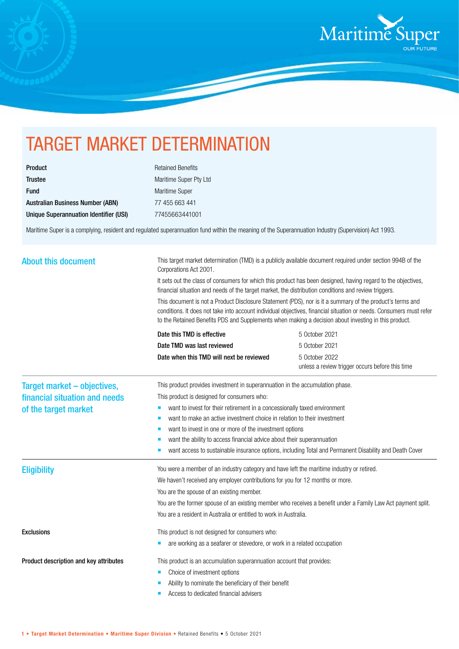

## TARGET MARKET DETERMINATION

| <b>Product</b>                          |
|-----------------------------------------|
| <b>Trustee</b>                          |
| <b>Fund</b>                             |
| <b>Australian Business Number (ABN)</b> |
| Unique Superannuation Identifier (USI)  |

**Retained Benefits** Maritime Super Pty Ltd Maritime Super 77 455 663 441 Unique Superannuation Identifier (USI) 77455663441001

Maritime Super is a complying, resident and regulated superannuation fund within the meaning of the Superannuation Industry (Supervision) Act 1993.

| <b>About this document</b>                            | This target market determination (TMD) is a publicly available document required under section 994B of the<br>Corporations Act 2001.                                                                                                                                                                                                                                                                                                                                                                                                                              |                                                                                                        |  |
|-------------------------------------------------------|-------------------------------------------------------------------------------------------------------------------------------------------------------------------------------------------------------------------------------------------------------------------------------------------------------------------------------------------------------------------------------------------------------------------------------------------------------------------------------------------------------------------------------------------------------------------|--------------------------------------------------------------------------------------------------------|--|
|                                                       | It sets out the class of consumers for which this product has been designed, having regard to the objectives,<br>financial situation and needs of the target market, the distribution conditions and review triggers.<br>This document is not a Product Disclosure Statement (PDS), nor is it a summary of the product's terms and<br>conditions. It does not take into account individual objectives, financial situation or needs. Consumers must refer<br>to the Retained Benefits PDS and Supplements when making a decision about investing in this product. |                                                                                                        |  |
|                                                       |                                                                                                                                                                                                                                                                                                                                                                                                                                                                                                                                                                   |                                                                                                        |  |
|                                                       | Date TMD was last reviewed                                                                                                                                                                                                                                                                                                                                                                                                                                                                                                                                        | 5 October 2021                                                                                         |  |
|                                                       | Date when this TMD will next be reviewed                                                                                                                                                                                                                                                                                                                                                                                                                                                                                                                          | 5 October 2022<br>unless a review trigger occurs before this time                                      |  |
| Target market – objectives,                           | This product provides investment in superannuation in the accumulation phase.                                                                                                                                                                                                                                                                                                                                                                                                                                                                                     |                                                                                                        |  |
| financial situation and needs<br>of the target market | This product is designed for consumers who:                                                                                                                                                                                                                                                                                                                                                                                                                                                                                                                       |                                                                                                        |  |
|                                                       | want to invest for their retirement in a concessionally taxed environment<br>ш                                                                                                                                                                                                                                                                                                                                                                                                                                                                                    |                                                                                                        |  |
|                                                       | want to make an active investment choice in relation to their investment<br>п                                                                                                                                                                                                                                                                                                                                                                                                                                                                                     |                                                                                                        |  |
|                                                       | want to invest in one or more of the investment options<br>п                                                                                                                                                                                                                                                                                                                                                                                                                                                                                                      |                                                                                                        |  |
|                                                       | want the ability to access financial advice about their superannuation                                                                                                                                                                                                                                                                                                                                                                                                                                                                                            |                                                                                                        |  |
|                                                       |                                                                                                                                                                                                                                                                                                                                                                                                                                                                                                                                                                   | want access to sustainable insurance options, including Total and Permanent Disability and Death Cover |  |
| <b>Eligibility</b>                                    | You were a member of an industry category and have left the maritime industry or retired.                                                                                                                                                                                                                                                                                                                                                                                                                                                                         |                                                                                                        |  |
|                                                       | We haven't received any employer contributions for you for 12 months or more.                                                                                                                                                                                                                                                                                                                                                                                                                                                                                     |                                                                                                        |  |
|                                                       | You are the spouse of an existing member.                                                                                                                                                                                                                                                                                                                                                                                                                                                                                                                         |                                                                                                        |  |
|                                                       | You are the former spouse of an existing member who receives a benefit under a Family Law Act payment split.                                                                                                                                                                                                                                                                                                                                                                                                                                                      |                                                                                                        |  |
|                                                       | You are a resident in Australia or entitled to work in Australia.                                                                                                                                                                                                                                                                                                                                                                                                                                                                                                 |                                                                                                        |  |
| <b>Exclusions</b>                                     | This product is not designed for consumers who:                                                                                                                                                                                                                                                                                                                                                                                                                                                                                                                   |                                                                                                        |  |
|                                                       | are working as a seafarer or stevedore, or work in a related occupation                                                                                                                                                                                                                                                                                                                                                                                                                                                                                           |                                                                                                        |  |
| Product description and key attributes                | This product is an accumulation superannuation account that provides:                                                                                                                                                                                                                                                                                                                                                                                                                                                                                             |                                                                                                        |  |
|                                                       | Choice of investment options                                                                                                                                                                                                                                                                                                                                                                                                                                                                                                                                      |                                                                                                        |  |
|                                                       | Ability to nominate the beneficiary of their benefit                                                                                                                                                                                                                                                                                                                                                                                                                                                                                                              |                                                                                                        |  |
|                                                       | Access to dedicated financial advisers                                                                                                                                                                                                                                                                                                                                                                                                                                                                                                                            |                                                                                                        |  |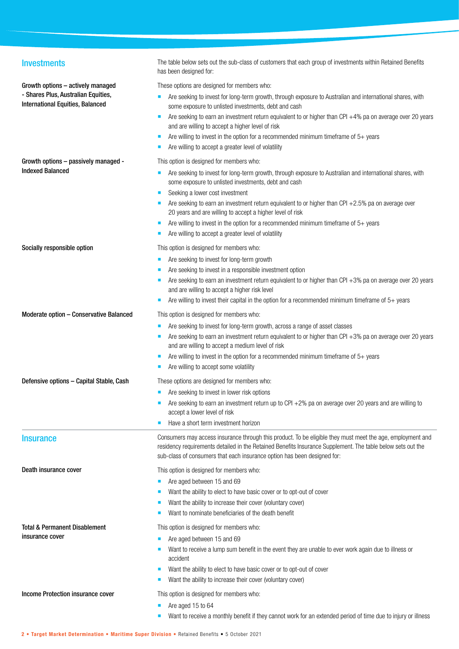| <b>Investments</b>                                                                                                  | The table below sets out the sub-class of customers that each group of investments within Retained Benefits<br>has been designed for:                                                                                                                                                                                                                                                                                                                                                                                                                                    |
|---------------------------------------------------------------------------------------------------------------------|--------------------------------------------------------------------------------------------------------------------------------------------------------------------------------------------------------------------------------------------------------------------------------------------------------------------------------------------------------------------------------------------------------------------------------------------------------------------------------------------------------------------------------------------------------------------------|
| Growth options - actively managed<br>- Shares Plus, Australian Equities,<br><b>International Equities, Balanced</b> | These options are designed for members who:<br>Are seeking to invest for long-term growth, through exposure to Australian and international shares, with<br>some exposure to unlisted investments, debt and cash<br>Are seeking to earn an investment return equivalent to or higher than CPI +4% pa on average over 20 years<br>and are willing to accept a higher level of risk<br>Are willing to invest in the option for a recommended minimum timeframe of $5+$ years<br>п<br>Are willing to accept a greater level of volatility                                   |
| Growth options - passively managed -<br><b>Indexed Balanced</b>                                                     | This option is designed for members who:<br>Are seeking to invest for long-term growth, through exposure to Australian and international shares, with<br>some exposure to unlisted investments, debt and cash<br>Seeking a lower cost investment<br>■<br>Are seeking to earn an investment return equivalent to or higher than CPI +2.5% pa on average over<br>20 years and are willing to accept a higher level of risk<br>Are willing to invest in the option for a recommended minimum timeframe of $5+$ years<br>Are willing to accept a greater level of volatility |
| Socially responsible option                                                                                         | This option is designed for members who:<br>Are seeking to invest for long-term growth<br>п<br>Are seeking to invest in a responsible investment option<br>Are seeking to earn an investment return equivalent to or higher than CPI +3% pa on average over 20 years<br>and are willing to accept a higher risk level<br>Are willing to invest their capital in the option for a recommended minimum timeframe of $5+$ years                                                                                                                                             |
| Moderate option - Conservative Balanced                                                                             | This option is designed for members who:<br>Are seeking to invest for long-term growth, across a range of asset classes<br>Are seeking to earn an investment return equivalent to or higher than CPI $+3\%$ pa on average over 20 years<br>and are willing to accept a medium level of risk<br>Are willing to invest in the option for a recommended minimum timeframe of 5+ years<br>ш<br>Are willing to accept some volatility                                                                                                                                         |
| Defensive options - Capital Stable, Cash                                                                            | These options are designed for members who:<br>Are seeking to invest in lower risk options<br>Are seeking to earn an investment return up to CPI +2% pa on average over 20 years and are willing to<br>accept a lower level of risk<br>Have a short term investment horizon                                                                                                                                                                                                                                                                                              |
| <b>Insurance</b>                                                                                                    | Consumers may access insurance through this product. To be eligible they must meet the age, employment and<br>residency requirements detailed in the Retained Benefits Insurance Supplement. The table below sets out the<br>sub-class of consumers that each insurance option has been designed for:                                                                                                                                                                                                                                                                    |
| Death insurance cover                                                                                               | This option is designed for members who:<br>Are aged between 15 and 69<br>Want the ability to elect to have basic cover or to opt-out of cover<br>Want the ability to increase their cover (voluntary cover)<br>Want to nominate beneficiaries of the death benefit                                                                                                                                                                                                                                                                                                      |
| <b>Total &amp; Permanent Disablement</b><br>insurance cover                                                         | This option is designed for members who:<br>Are aged between 15 and 69<br>Want to receive a lump sum benefit in the event they are unable to ever work again due to illness or<br>accident<br>Want the ability to elect to have basic cover or to opt-out of cover<br>ш<br>Want the ability to increase their cover (voluntary cover)                                                                                                                                                                                                                                    |
| Income Protection insurance cover                                                                                   | This option is designed for members who:<br>Are aged 15 to 64<br>Want to receive a monthly benefit if they cannot work for an extended period of time due to injury or illness                                                                                                                                                                                                                                                                                                                                                                                           |